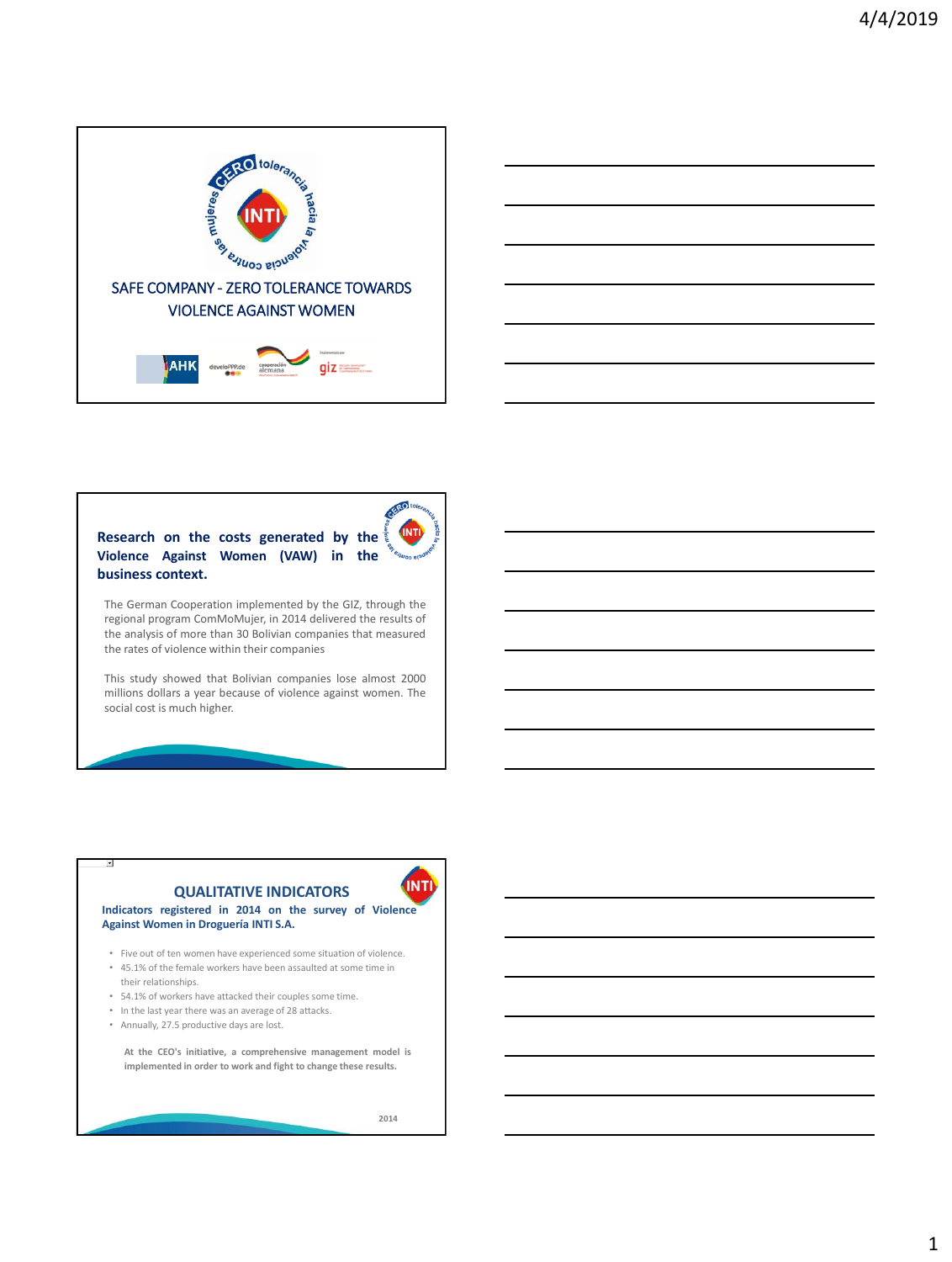

## **Research on the costs generated by the Violence Against Women (VAW) in the business context.**

**INTI** 

The German Cooperation implemented by the GIZ, through the regional program ComMoMujer, in 2014 delivered the results of the analysis of more than 30 Bolivian companies that measured the rates of violence within their companies

This study showed that Bolivian companies lose almost 2000 millions dollars a year because of violence against women. The social cost is much higher.

# **QUALITATIVE INDICATORS**

## **Indicators registered in 2014 on the survey of Violence Against Women in Droguería INTI S.A.**

• Five out of ten women have experienced some situation of violence. • 45.1% of the female workers have been assaulted at some time in

**implemented in order to work and fight to change these results.**

- their relationships.
- 54.1% of workers have attacked their couples some time. • In the last year there was an average of 28 attacks.
- Annually, 27.5 productive days are lost.

**At the CEO's initiative, a comprehensive management model is**

**2014** 

**INTI**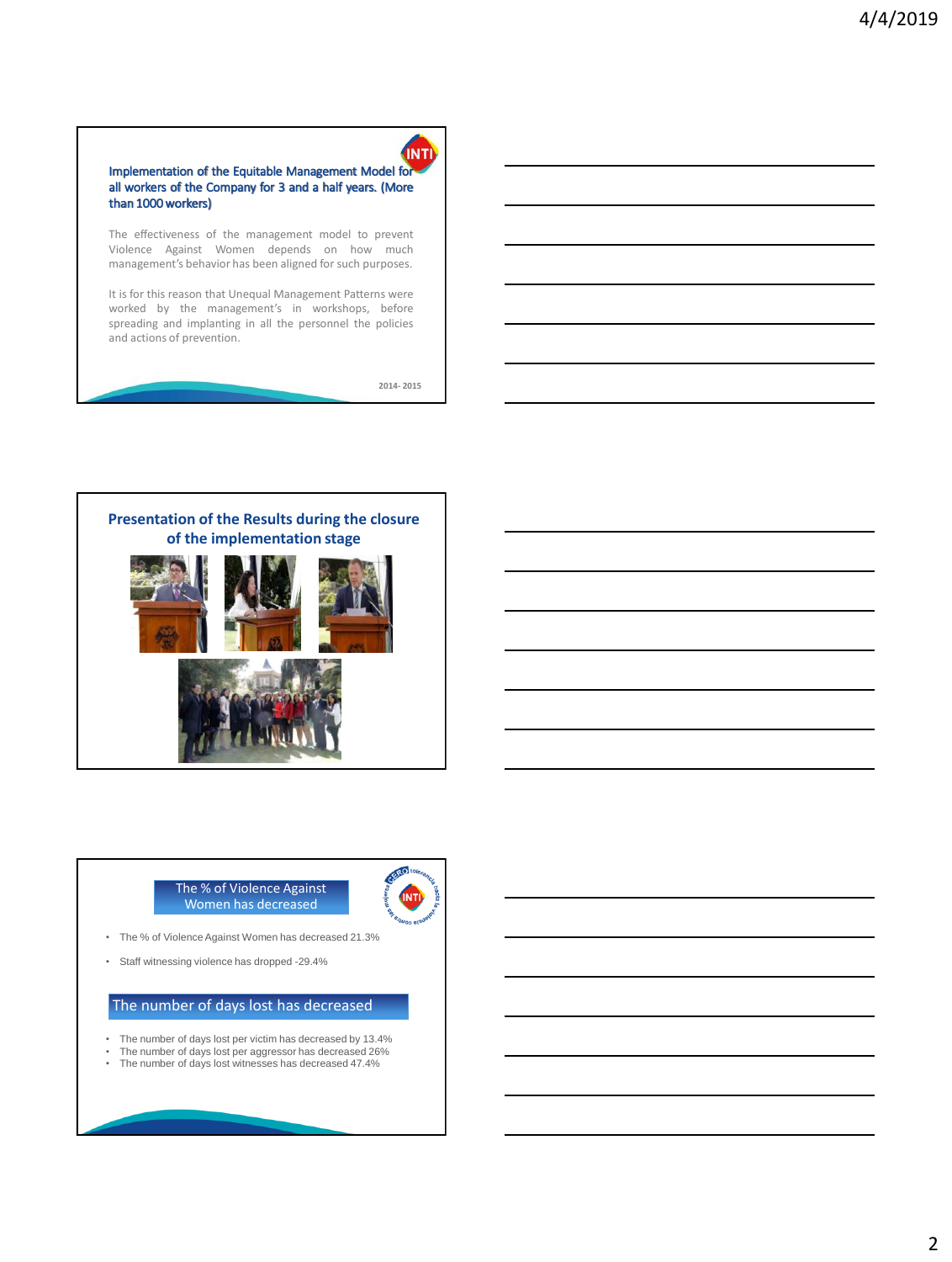## Implementation of the Equitable Management Model for all workers of the Company for 3 and a half years. (More than 1000workers)

The effectiveness of the management model to prevent Violence Against Women depends on how much management's behavior has been aligned for such purposes.

It is for this reason that Unequal Management Patterns were worked by the management's in workshops, before spreading and implanting in all the personnel the policies and actions of prevention.

**2014- 2015** 

**INTI** 



#### The % of Violence Against Women has decreased



- The % of Violence Against Women has decreased 21.3%
- Staff witnessing violence has dropped -29.4%

## The number of days lost has decreased

- The number of days lost per victim has decreased by 13.4%<br>• The number of days lost per aggressor has decreased 26%
- The number of days lost per aggressor has decreased 26%
- The number of days lost witnesses has decreased 47.4%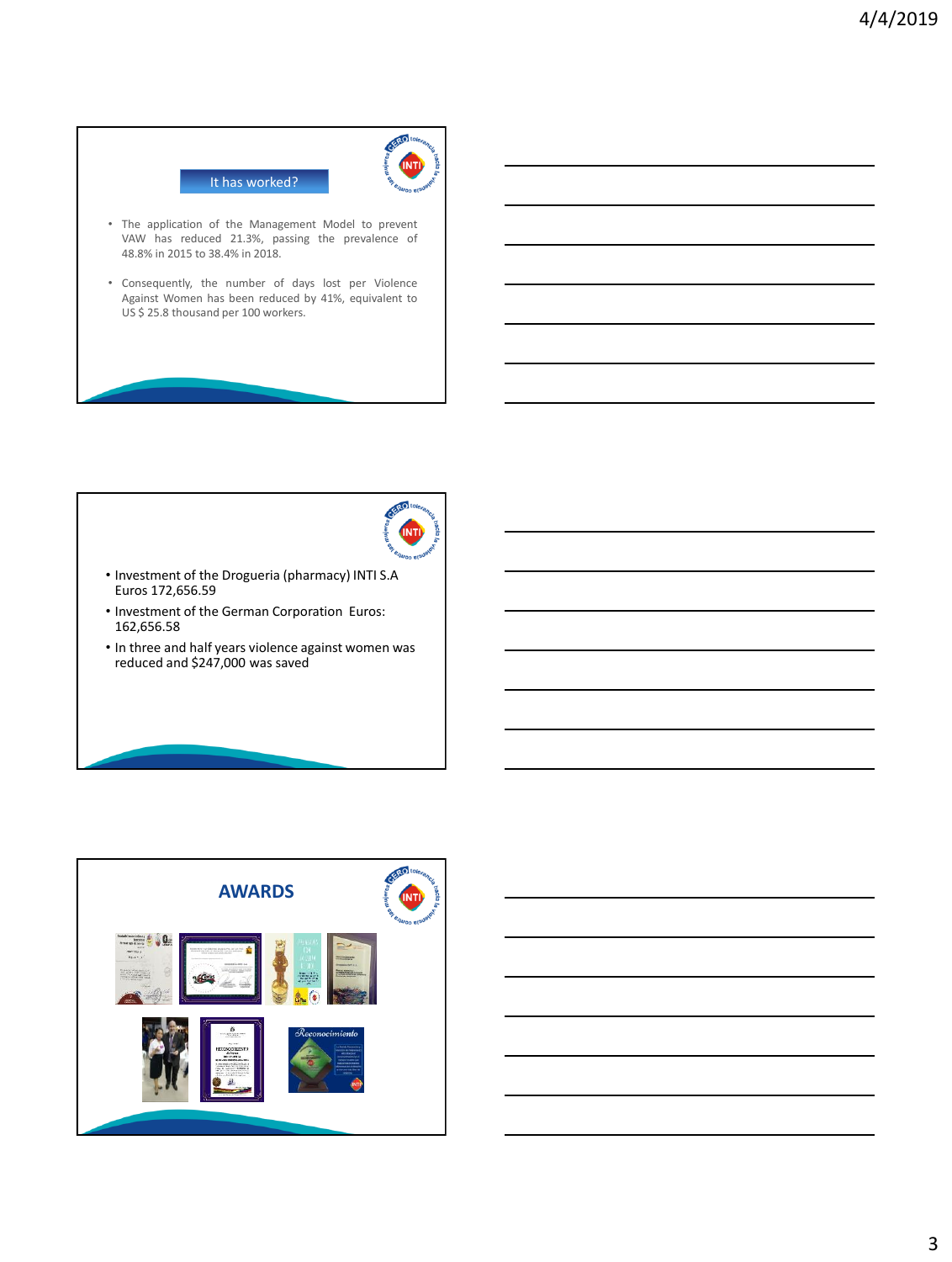

- VAW has reduced 21.3%, passing the prevalence of 48.8% in 2015 to 38.4% in 2018.
- Consequently, the number of days lost per Violence Against Women has been reduced by 41%, equivalent to US \$ 25.8 thousand per 100 workers.



- Investment of the Drogueria (pharmacy) INTI S.A Euros 172,656.59
- Investment of the German Corporation Euros: 162,656.58
- In three and half years violence against women was reduced and \$247,000 was saved



3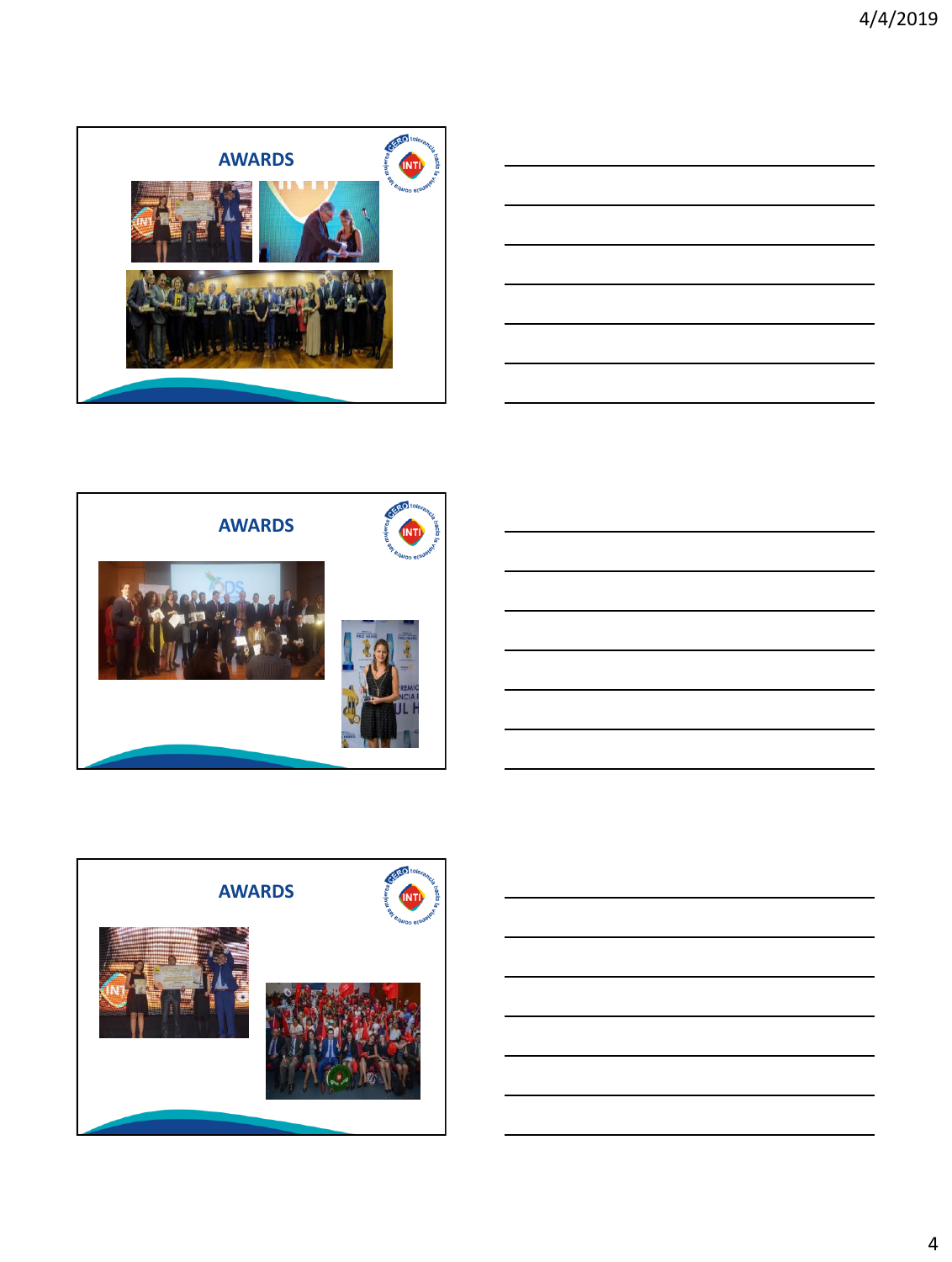